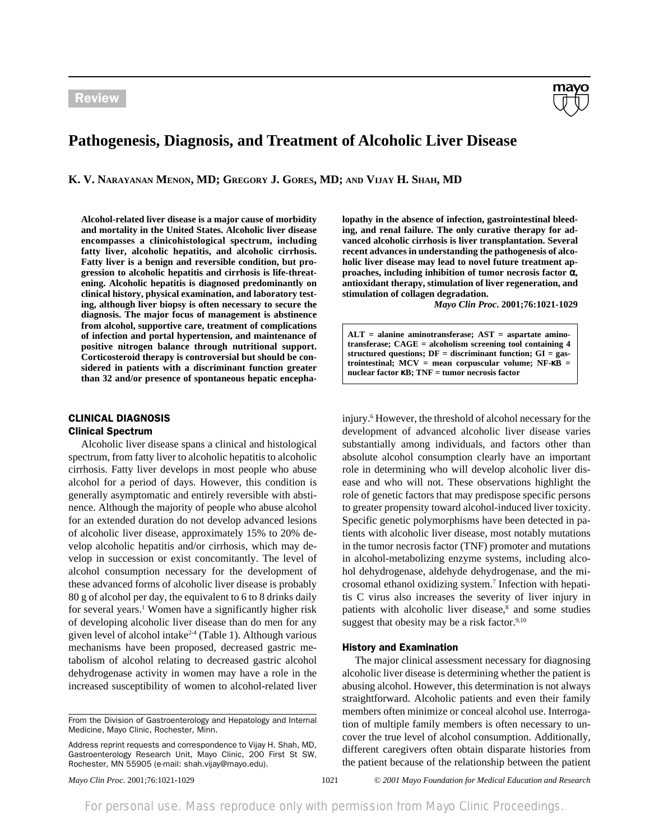

# **Pathogenesis, Diagnosis, and Treatment of Alcoholic Liver Disease**

**K. V. NARAYANAN MENON, MD; GREGORY J. GORES, MD; AND VIJAY H. SHAH, MD**

**Alcohol-related liver disease is a major cause of morbidity and mortality in the United States. Alcoholic liver disease encompasses a clinicohistological spectrum, including fatty liver, alcoholic hepatitis, and alcoholic cirrhosis. Fatty liver is a benign and reversible condition, but progression to alcoholic hepatitis and cirrhosis is life-threatening. Alcoholic hepatitis is diagnosed predominantly on clinical history, physical examination, and laboratory testing, although liver biopsy is often necessary to secure the diagnosis. The major focus of management is abstinence from alcohol, supportive care, treatment of complications of infection and portal hypertension, and maintenance of positive nitrogen balance through nutritional support. Corticosteroid therapy is controversial but should be considered in patients with a discriminant function greater than 32 and/or presence of spontaneous hepatic encepha-**

# CLINICAL DIAGNOSIS Clinical Spectrum

Alcoholic liver disease spans a clinical and histological spectrum, from fatty liver to alcoholic hepatitis to alcoholic cirrhosis. Fatty liver develops in most people who abuse alcohol for a period of days. However, this condition is generally asymptomatic and entirely reversible with abstinence. Although the majority of people who abuse alcohol for an extended duration do not develop advanced lesions of alcoholic liver disease, approximately 15% to 20% develop alcoholic hepatitis and/or cirrhosis, which may develop in succession or exist concomitantly. The level of alcohol consumption necessary for the development of these advanced forms of alcoholic liver disease is probably 80 g of alcohol per day, the equivalent to 6 to 8 drinks daily for several years.<sup>1</sup> Women have a significantly higher risk of developing alcoholic liver disease than do men for any given level of alcohol intake<sup>24</sup> (Table 1). Although various mechanisms have been proposed, decreased gastric metabolism of alcohol relating to decreased gastric alcohol dehydrogenase activity in women may have a role in the increased susceptibility of women to alcohol-related liver

*Mayo Clin Proc*. 2001;76:1021-1029 1021 *© 2001 Mayo Foundation for Medical Education and Research*

**lopathy in the absence of infection, gastrointestinal bleeding, and renal failure. The only curative therapy for advanced alcoholic cirrhosis is liver transplantation. Several recent advances in understanding the pathogenesis of alcoholic liver disease may lead to novel future treatment approaches, including inhibition of tumor necrosis factor** α**, antioxidant therapy, stimulation of liver regeneration, and stimulation of collagen degradation.**

*Mayo Clin Proc***. 2001;76:1021-1029**

**ALT = alanine aminotransferase; AST = aspartate aminotransferase; CAGE = alcoholism screening tool containing 4 structured questions; DF = discriminant function; GI = gastrointestinal; MCV = mean corpuscular volume; NF-**κ**B = nuclear factor** κ**B; TNF = tumor necrosis factor**

injury.6 However, the threshold of alcohol necessary for the development of advanced alcoholic liver disease varies substantially among individuals, and factors other than absolute alcohol consumption clearly have an important role in determining who will develop alcoholic liver disease and who will not. These observations highlight the role of genetic factors that may predispose specific persons to greater propensity toward alcohol-induced liver toxicity. Specific genetic polymorphisms have been detected in patients with alcoholic liver disease, most notably mutations in the tumor necrosis factor (TNF) promoter and mutations in alcohol-metabolizing enzyme systems, including alcohol dehydrogenase, aldehyde dehydrogenase, and the microsomal ethanol oxidizing system.7 Infection with hepatitis C virus also increases the severity of liver injury in patients with alcoholic liver disease,<sup>8</sup> and some studies suggest that obesity may be a risk factor. $9,10$ 

#### History and Examination

The major clinical assessment necessary for diagnosing alcoholic liver disease is determining whether the patient is abusing alcohol. However, this determination is not always straightforward. Alcoholic patients and even their family members often minimize or conceal alcohol use. Interrogation of multiple family members is often necessary to uncover the true level of alcohol consumption. Additionally, different caregivers often obtain disparate histories from the patient because of the relationship between the patient

From the Division of Gastroenterology and Hepatology and Internal Medicine, Mayo Clinic, Rochester, Minn.

Address reprint requests and correspondence to Vijay H. Shah, MD, Gastroenterology Research Unit, Mayo Clinic, 200 First St SW, Rochester, MN 55905 (e-mail: shah.vijay@mayo.edu).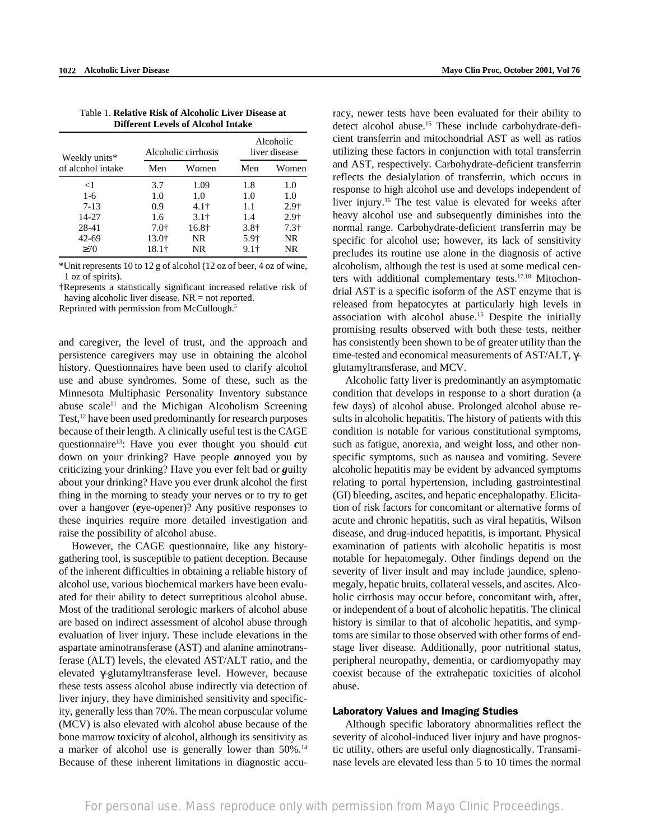| Weekly units*     | Alcoholic cirrhosis |        | Alcoholic<br>liver disease |                  |
|-------------------|---------------------|--------|----------------------------|------------------|
| of alcohol intake | Men                 | Women  | Men                        | Women            |
| ${<}1$            | 3.7                 | 1.09   | 1.8                        | 1.0              |
| $1-6$             | 1.0                 | 1.0    | 1.0                        | 1.0              |
| $7-13$            | 0.9                 | $4.1+$ | 1.1                        | 2.9 <sub>†</sub> |
| 14-27             | 1.6                 | $3.1+$ | 1.4                        | 2.9 <sub>†</sub> |
| 28-41             | $7.0^{+}$           | 16.8†  | $3.8+$                     | $7.3+$           |
| $42 - 69$         | 13.0†               | NR     | 5.9†                       | <b>NR</b>        |
| $\geq 70$         | 18.1†               | NR.    | $9.1+$                     | NR.              |

| Table 1. Relative Risk of Alcoholic Liver Disease at |  |
|------------------------------------------------------|--|
| <b>Different Levels of Alcohol Intake</b>            |  |

\*Unit represents 10 to 12 g of alcohol (12 oz of beer, 4 oz of wine, 1 oz of spirits).

†Represents a statistically significant increased relative risk of having alcoholic liver disease. NR = not reported.

Reprinted with permission from McCullough.5

and caregiver, the level of trust, and the approach and persistence caregivers may use in obtaining the alcohol history. Questionnaires have been used to clarify alcohol use and abuse syndromes. Some of these, such as the Minnesota Multiphasic Personality Inventory substance abuse scale<sup>11</sup> and the Michigan Alcoholism Screening Test,<sup>12</sup> have been used predominantly for research purposes because of their length. A clinically useful test is the CAGE questionnaire<sup>13</sup>: Have you ever thought you should *cut* down on your drinking? Have people *a*nnoyed you by criticizing your drinking? Have you ever felt bad or *g*uilty about your drinking? Have you ever drunk alcohol the first thing in the morning to steady your nerves or to try to get over a hangover (*e*ye-opener)? Any positive responses to these inquiries require more detailed investigation and raise the possibility of alcohol abuse.

However, the CAGE questionnaire, like any historygathering tool, is susceptible to patient deception. Because of the inherent difficulties in obtaining a reliable history of alcohol use, various biochemical markers have been evaluated for their ability to detect surreptitious alcohol abuse. Most of the traditional serologic markers of alcohol abuse are based on indirect assessment of alcohol abuse through evaluation of liver injury. These include elevations in the aspartate aminotransferase (AST) and alanine aminotransferase (ALT) levels, the elevated AST/ALT ratio, and the elevated γ-glutamyltransferase level. However, because these tests assess alcohol abuse indirectly via detection of liver injury, they have diminished sensitivity and specificity, generally less than 70%. The mean corpuscular volume (MCV) is also elevated with alcohol abuse because of the bone marrow toxicity of alcohol, although its sensitivity as a marker of alcohol use is generally lower than 50%.<sup>14</sup> Because of these inherent limitations in diagnostic accuracy, newer tests have been evaluated for their ability to detect alcohol abuse.15 These include carbohydrate-deficient transferrin and mitochondrial AST as well as ratios utilizing these factors in conjunction with total transferrin and AST, respectively. Carbohydrate-deficient transferrin reflects the desialylation of transferrin, which occurs in response to high alcohol use and develops independent of liver injury.16 The test value is elevated for weeks after heavy alcohol use and subsequently diminishes into the normal range. Carbohydrate-deficient transferrin may be specific for alcohol use; however, its lack of sensitivity precludes its routine use alone in the diagnosis of active alcoholism, although the test is used at some medical centers with additional complementary tests.17,18 Mitochondrial AST is a specific isoform of the AST enzyme that is released from hepatocytes at particularly high levels in association with alcohol abuse.15 Despite the initially promising results observed with both these tests, neither has consistently been shown to be of greater utility than the time-tested and economical measurements of AST/ALT, γglutamyltransferase, and MCV.

Alcoholic fatty liver is predominantly an asymptomatic condition that develops in response to a short duration (a few days) of alcohol abuse. Prolonged alcohol abuse results in alcoholic hepatitis. The history of patients with this condition is notable for various constitutional symptoms, such as fatigue, anorexia, and weight loss, and other nonspecific symptoms, such as nausea and vomiting. Severe alcoholic hepatitis may be evident by advanced symptoms relating to portal hypertension, including gastrointestinal (GI) bleeding, ascites, and hepatic encephalopathy. Elicitation of risk factors for concomitant or alternative forms of acute and chronic hepatitis, such as viral hepatitis, Wilson disease, and drug-induced hepatitis, is important. Physical examination of patients with alcoholic hepatitis is most notable for hepatomegaly. Other findings depend on the severity of liver insult and may include jaundice, splenomegaly, hepatic bruits, collateral vessels, and ascites. Alcoholic cirrhosis may occur before, concomitant with, after, or independent of a bout of alcoholic hepatitis. The clinical history is similar to that of alcoholic hepatitis, and symptoms are similar to those observed with other forms of endstage liver disease. Additionally, poor nutritional status, peripheral neuropathy, dementia, or cardiomyopathy may coexist because of the extrahepatic toxicities of alcohol abuse.

## Laboratory Values and Imaging Studies

Although specific laboratory abnormalities reflect the severity of alcohol-induced liver injury and have prognostic utility, others are useful only diagnostically. Transaminase levels are elevated less than 5 to 10 times the normal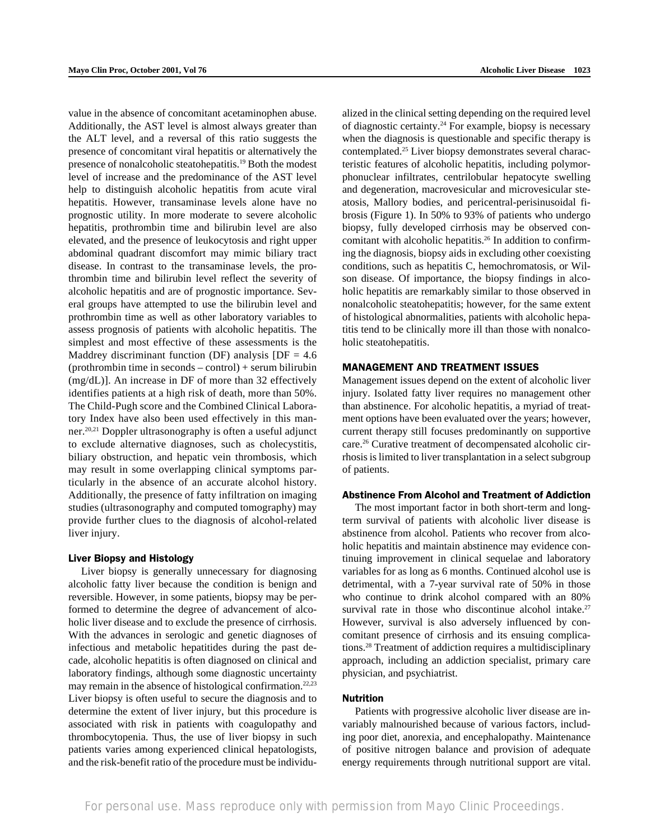value in the absence of concomitant acetaminophen abuse. Additionally, the AST level is almost always greater than the ALT level, and a reversal of this ratio suggests the presence of concomitant viral hepatitis or alternatively the presence of nonalcoholic steatohepatitis.19 Both the modest level of increase and the predominance of the AST level help to distinguish alcoholic hepatitis from acute viral hepatitis. However, transaminase levels alone have no prognostic utility. In more moderate to severe alcoholic hepatitis, prothrombin time and bilirubin level are also elevated, and the presence of leukocytosis and right upper abdominal quadrant discomfort may mimic biliary tract disease. In contrast to the transaminase levels, the prothrombin time and bilirubin level reflect the severity of alcoholic hepatitis and are of prognostic importance. Several groups have attempted to use the bilirubin level and prothrombin time as well as other laboratory variables to assess prognosis of patients with alcoholic hepatitis. The simplest and most effective of these assessments is the Maddrey discriminant function (DF) analysis  $[DF = 4.6]$ (prothrombin time in seconds – control) + serum bilirubin (mg/dL)]. An increase in DF of more than 32 effectively identifies patients at a high risk of death, more than 50%. The Child-Pugh score and the Combined Clinical Laboratory Index have also been used effectively in this manner.20,21 Doppler ultrasonography is often a useful adjunct to exclude alternative diagnoses, such as cholecystitis, biliary obstruction, and hepatic vein thrombosis, which may result in some overlapping clinical symptoms particularly in the absence of an accurate alcohol history. Additionally, the presence of fatty infiltration on imaging studies (ultrasonography and computed tomography) may provide further clues to the diagnosis of alcohol-related liver injury.

## Liver Biopsy and Histology

Liver biopsy is generally unnecessary for diagnosing alcoholic fatty liver because the condition is benign and reversible. However, in some patients, biopsy may be performed to determine the degree of advancement of alcoholic liver disease and to exclude the presence of cirrhosis. With the advances in serologic and genetic diagnoses of infectious and metabolic hepatitides during the past decade, alcoholic hepatitis is often diagnosed on clinical and laboratory findings, although some diagnostic uncertainty may remain in the absence of histological confirmation.<sup>22,23</sup> Liver biopsy is often useful to secure the diagnosis and to determine the extent of liver injury, but this procedure is associated with risk in patients with coagulopathy and thrombocytopenia. Thus, the use of liver biopsy in such patients varies among experienced clinical hepatologists, and the risk-benefit ratio of the procedure must be individualized in the clinical setting depending on the required level of diagnostic certainty.24 For example, biopsy is necessary when the diagnosis is questionable and specific therapy is contemplated.<sup>25</sup> Liver biopsy demonstrates several characteristic features of alcoholic hepatitis, including polymorphonuclear infiltrates, centrilobular hepatocyte swelling and degeneration, macrovesicular and microvesicular steatosis, Mallory bodies, and pericentral-perisinusoidal fibrosis (Figure 1). In 50% to 93% of patients who undergo biopsy, fully developed cirrhosis may be observed concomitant with alcoholic hepatitis.<sup>26</sup> In addition to confirming the diagnosis, biopsy aids in excluding other coexisting conditions, such as hepatitis C, hemochromatosis, or Wilson disease. Of importance, the biopsy findings in alcoholic hepatitis are remarkably similar to those observed in nonalcoholic steatohepatitis; however, for the same extent of histological abnormalities, patients with alcoholic hepatitis tend to be clinically more ill than those with nonalcoholic steatohepatitis.

## MANAGEMENT AND TREATMENT ISSUES

Management issues depend on the extent of alcoholic liver injury. Isolated fatty liver requires no management other than abstinence. For alcoholic hepatitis, a myriad of treatment options have been evaluated over the years; however, current therapy still focuses predominantly on supportive care.26 Curative treatment of decompensated alcoholic cirrhosis is limited to liver transplantation in a select subgroup of patients.

## Abstinence From Alcohol and Treatment of Addiction

The most important factor in both short-term and longterm survival of patients with alcoholic liver disease is abstinence from alcohol. Patients who recover from alcoholic hepatitis and maintain abstinence may evidence continuing improvement in clinical sequelae and laboratory variables for as long as 6 months. Continued alcohol use is detrimental, with a 7-year survival rate of 50% in those who continue to drink alcohol compared with an 80% survival rate in those who discontinue alcohol intake. $27$ However, survival is also adversely influenced by concomitant presence of cirrhosis and its ensuing complications.28 Treatment of addiction requires a multidisciplinary approach, including an addiction specialist, primary care physician, and psychiatrist.

## Nutrition

Patients with progressive alcoholic liver disease are invariably malnourished because of various factors, including poor diet, anorexia, and encephalopathy. Maintenance of positive nitrogen balance and provision of adequate energy requirements through nutritional support are vital.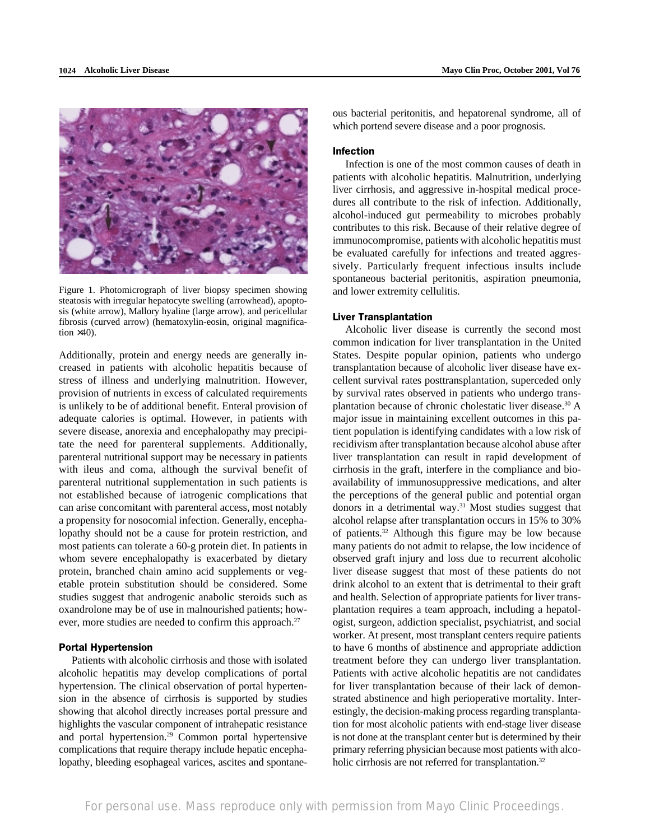

Figure 1. Photomicrograph of liver biopsy specimen showing steatosis with irregular hepatocyte swelling (arrowhead), apoptosis (white arrow), Mallory hyaline (large arrow), and pericellular fibrosis (curved arrow) (hematoxylin-eosin, original magnification  $\times$ 40).

Additionally, protein and energy needs are generally increased in patients with alcoholic hepatitis because of stress of illness and underlying malnutrition. However, provision of nutrients in excess of calculated requirements is unlikely to be of additional benefit. Enteral provision of adequate calories is optimal. However, in patients with severe disease, anorexia and encephalopathy may precipitate the need for parenteral supplements. Additionally, parenteral nutritional support may be necessary in patients with ileus and coma, although the survival benefit of parenteral nutritional supplementation in such patients is not established because of iatrogenic complications that can arise concomitant with parenteral access, most notably a propensity for nosocomial infection. Generally, encephalopathy should not be a cause for protein restriction, and most patients can tolerate a 60-g protein diet. In patients in whom severe encephalopathy is exacerbated by dietary protein, branched chain amino acid supplements or vegetable protein substitution should be considered. Some studies suggest that androgenic anabolic steroids such as oxandrolone may be of use in malnourished patients; however, more studies are needed to confirm this approach.<sup>27</sup>

#### Portal Hypertension

Patients with alcoholic cirrhosis and those with isolated alcoholic hepatitis may develop complications of portal hypertension. The clinical observation of portal hypertension in the absence of cirrhosis is supported by studies showing that alcohol directly increases portal pressure and highlights the vascular component of intrahepatic resistance and portal hypertension.<sup>29</sup> Common portal hypertensive complications that require therapy include hepatic encephalopathy, bleeding esophageal varices, ascites and spontaneous bacterial peritonitis, and hepatorenal syndrome, all of which portend severe disease and a poor prognosis.

## Infection

Infection is one of the most common causes of death in patients with alcoholic hepatitis. Malnutrition, underlying liver cirrhosis, and aggressive in-hospital medical procedures all contribute to the risk of infection. Additionally, alcohol-induced gut permeability to microbes probably contributes to this risk. Because of their relative degree of immunocompromise, patients with alcoholic hepatitis must be evaluated carefully for infections and treated aggressively. Particularly frequent infectious insults include spontaneous bacterial peritonitis, aspiration pneumonia, and lower extremity cellulitis.

#### Liver Transplantation

Alcoholic liver disease is currently the second most common indication for liver transplantation in the United States. Despite popular opinion, patients who undergo transplantation because of alcoholic liver disease have excellent survival rates posttransplantation, superceded only by survival rates observed in patients who undergo transplantation because of chronic cholestatic liver disease.30 A major issue in maintaining excellent outcomes in this patient population is identifying candidates with a low risk of recidivism after transplantation because alcohol abuse after liver transplantation can result in rapid development of cirrhosis in the graft, interfere in the compliance and bioavailability of immunosuppressive medications, and alter the perceptions of the general public and potential organ donors in a detrimental way.31 Most studies suggest that alcohol relapse after transplantation occurs in 15% to 30% of patients.32 Although this figure may be low because many patients do not admit to relapse, the low incidence of observed graft injury and loss due to recurrent alcoholic liver disease suggest that most of these patients do not drink alcohol to an extent that is detrimental to their graft and health. Selection of appropriate patients for liver transplantation requires a team approach, including a hepatologist, surgeon, addiction specialist, psychiatrist, and social worker. At present, most transplant centers require patients to have 6 months of abstinence and appropriate addiction treatment before they can undergo liver transplantation. Patients with active alcoholic hepatitis are not candidates for liver transplantation because of their lack of demonstrated abstinence and high perioperative mortality. Interestingly, the decision-making process regarding transplantation for most alcoholic patients with end-stage liver disease is not done at the transplant center but is determined by their primary referring physician because most patients with alcoholic cirrhosis are not referred for transplantation.<sup>32</sup>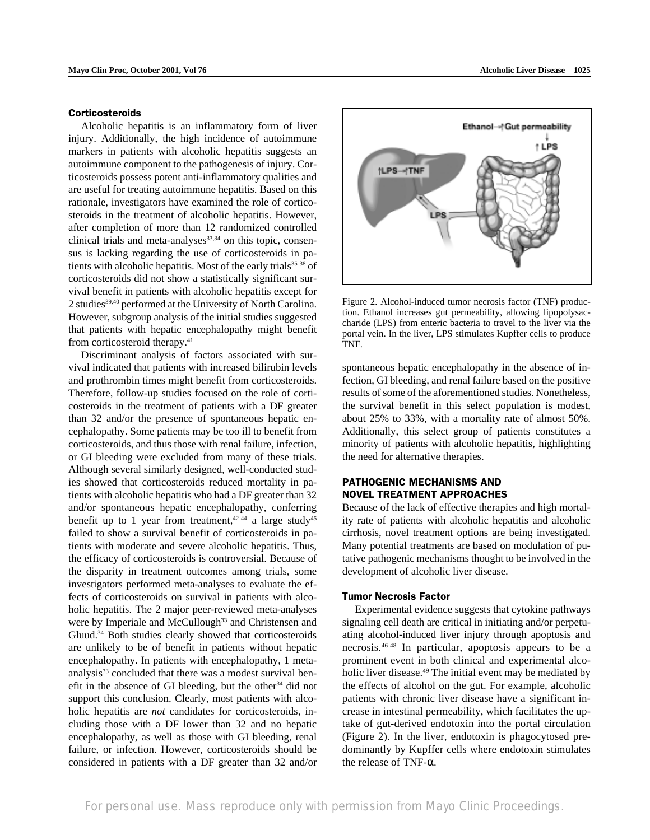#### Corticosteroids

Alcoholic hepatitis is an inflammatory form of liver injury. Additionally, the high incidence of autoimmune markers in patients with alcoholic hepatitis suggests an autoimmune component to the pathogenesis of injury. Corticosteroids possess potent anti-inflammatory qualities and are useful for treating autoimmune hepatitis. Based on this rationale, investigators have examined the role of corticosteroids in the treatment of alcoholic hepatitis. However, after completion of more than 12 randomized controlled clinical trials and meta-analyses<sup>33,34</sup> on this topic, consensus is lacking regarding the use of corticosteroids in patients with alcoholic hepatitis. Most of the early trials<sup>35-38</sup> of corticosteroids did not show a statistically significant survival benefit in patients with alcoholic hepatitis except for 2 studies<sup>39,40</sup> performed at the University of North Carolina. However, subgroup analysis of the initial studies suggested that patients with hepatic encephalopathy might benefit from corticosteroid therapy.<sup>41</sup>

Discriminant analysis of factors associated with survival indicated that patients with increased bilirubin levels and prothrombin times might benefit from corticosteroids. Therefore, follow-up studies focused on the role of corticosteroids in the treatment of patients with a DF greater than 32 and/or the presence of spontaneous hepatic encephalopathy. Some patients may be too ill to benefit from corticosteroids, and thus those with renal failure, infection, or GI bleeding were excluded from many of these trials. Although several similarly designed, well-conducted studies showed that corticosteroids reduced mortality in patients with alcoholic hepatitis who had a DF greater than 32 and/or spontaneous hepatic encephalopathy, conferring benefit up to 1 year from treatment,<sup>42-44</sup> a large study<sup>45</sup> failed to show a survival benefit of corticosteroids in patients with moderate and severe alcoholic hepatitis. Thus, the efficacy of corticosteroids is controversial. Because of the disparity in treatment outcomes among trials, some investigators performed meta-analyses to evaluate the effects of corticosteroids on survival in patients with alcoholic hepatitis. The 2 major peer-reviewed meta-analyses were by Imperiale and McCullough<sup>33</sup> and Christensen and Gluud.34 Both studies clearly showed that corticosteroids are unlikely to be of benefit in patients without hepatic encephalopathy. In patients with encephalopathy, 1 metaanalysis<sup>33</sup> concluded that there was a modest survival benefit in the absence of GI bleeding, but the other<sup>34</sup> did not support this conclusion. Clearly, most patients with alcoholic hepatitis are *not* candidates for corticosteroids, including those with a DF lower than 32 and no hepatic encephalopathy, as well as those with GI bleeding, renal failure, or infection. However, corticosteroids should be considered in patients with a DF greater than 32 and/or



Figure 2. Alcohol-induced tumor necrosis factor (TNF) production. Ethanol increases gut permeability, allowing lipopolysaccharide (LPS) from enteric bacteria to travel to the liver via the portal vein. In the liver, LPS stimulates Kupffer cells to produce TNF.

spontaneous hepatic encephalopathy in the absence of infection, GI bleeding, and renal failure based on the positive results of some of the aforementioned studies. Nonetheless, the survival benefit in this select population is modest, about 25% to 33%, with a mortality rate of almost 50%. Additionally, this select group of patients constitutes a minority of patients with alcoholic hepatitis, highlighting the need for alternative therapies.

# PATHOGENIC MECHANISMS AND NOVEL TREATMENT APPROACHES

Because of the lack of effective therapies and high mortality rate of patients with alcoholic hepatitis and alcoholic cirrhosis, novel treatment options are being investigated. Many potential treatments are based on modulation of putative pathogenic mechanisms thought to be involved in the development of alcoholic liver disease.

#### Tumor Necrosis Factor

Experimental evidence suggests that cytokine pathways signaling cell death are critical in initiating and/or perpetuating alcohol-induced liver injury through apoptosis and necrosis.46-48 In particular, apoptosis appears to be a prominent event in both clinical and experimental alcoholic liver disease.<sup>49</sup> The initial event may be mediated by the effects of alcohol on the gut. For example, alcoholic patients with chronic liver disease have a significant increase in intestinal permeability, which facilitates the uptake of gut-derived endotoxin into the portal circulation (Figure 2). In the liver, endotoxin is phagocytosed predominantly by Kupffer cells where endotoxin stimulates the release of TNF-α.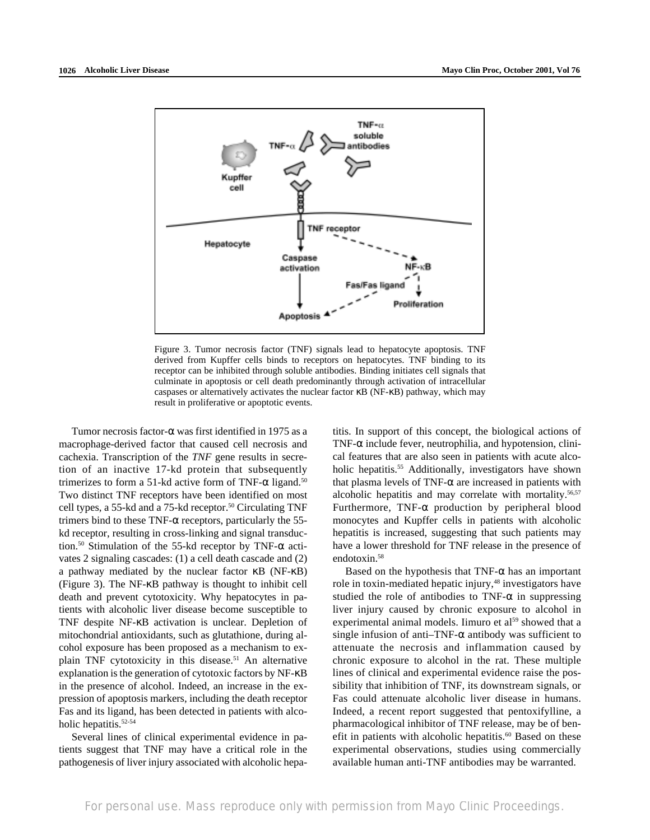

Figure 3. Tumor necrosis factor (TNF) signals lead to hepatocyte apoptosis. TNF derived from Kupffer cells binds to receptors on hepatocytes. TNF binding to its receptor can be inhibited through soluble antibodies. Binding initiates cell signals that culminate in apoptosis or cell death predominantly through activation of intracellular caspases or alternatively activates the nuclear factor κB (NF-κB) pathway, which may result in proliferative or apoptotic events.

Tumor necrosis factor-α was first identified in 1975 as a macrophage-derived factor that caused cell necrosis and cachexia. Transcription of the *TNF* gene results in secretion of an inactive 17-kd protein that subsequently trimerizes to form a 51-kd active form of TNF- $\alpha$  ligand.<sup>50</sup> Two distinct TNF receptors have been identified on most cell types, a 55-kd and a 75-kd receptor.<sup>50</sup> Circulating TNF trimers bind to these TNF- $\alpha$  receptors, particularly the 55kd receptor, resulting in cross-linking and signal transduction.<sup>50</sup> Stimulation of the 55-kd receptor by TNF- $\alpha$  activates 2 signaling cascades: (1) a cell death cascade and (2) a pathway mediated by the nuclear factor κB (NF-κB) (Figure 3). The NF-κB pathway is thought to inhibit cell death and prevent cytotoxicity. Why hepatocytes in patients with alcoholic liver disease become susceptible to TNF despite NF-κB activation is unclear. Depletion of mitochondrial antioxidants, such as glutathione, during alcohol exposure has been proposed as a mechanism to explain TNF cytotoxicity in this disease.<sup>51</sup> An alternative explanation is the generation of cytotoxic factors by NF-κB in the presence of alcohol. Indeed, an increase in the expression of apoptosis markers, including the death receptor Fas and its ligand, has been detected in patients with alcoholic hepatitis.<sup>52-54</sup>

Several lines of clinical experimental evidence in patients suggest that TNF may have a critical role in the pathogenesis of liver injury associated with alcoholic hepatitis. In support of this concept, the biological actions of TNF- $\alpha$  include fever, neutrophilia, and hypotension, clinical features that are also seen in patients with acute alcoholic hepatitis.<sup>55</sup> Additionally, investigators have shown that plasma levels of TNF- $\alpha$  are increased in patients with alcoholic hepatitis and may correlate with mortality.56,57 Furthermore, TNF- $\alpha$  production by peripheral blood monocytes and Kupffer cells in patients with alcoholic hepatitis is increased, suggesting that such patients may have a lower threshold for TNF release in the presence of endotoxin.58

Based on the hypothesis that  $TNF-\alpha$  has an important role in toxin-mediated hepatic injury,<sup>48</sup> investigators have studied the role of antibodies to TNF- $\alpha$  in suppressing liver injury caused by chronic exposure to alcohol in experimental animal models. Iimuro et al<sup>59</sup> showed that a single infusion of anti–TNF- $\alpha$  antibody was sufficient to attenuate the necrosis and inflammation caused by chronic exposure to alcohol in the rat. These multiple lines of clinical and experimental evidence raise the possibility that inhibition of TNF, its downstream signals, or Fas could attenuate alcoholic liver disease in humans. Indeed, a recent report suggested that pentoxifylline, a pharmacological inhibitor of TNF release, may be of benefit in patients with alcoholic hepatitis.<sup>60</sup> Based on these experimental observations, studies using commercially available human anti-TNF antibodies may be warranted.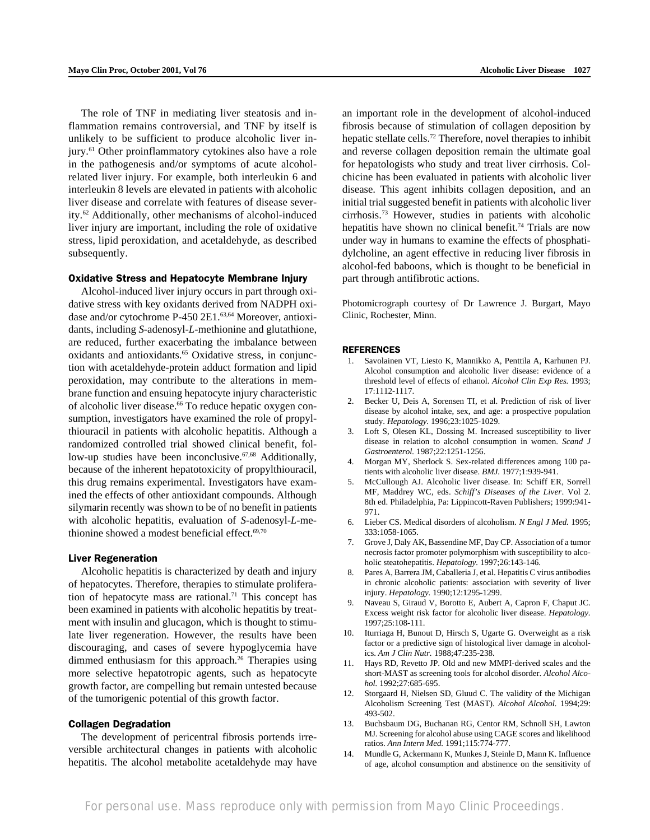The role of TNF in mediating liver steatosis and inflammation remains controversial, and TNF by itself is unlikely to be sufficient to produce alcoholic liver injury.<sup>61</sup> Other proinflammatory cytokines also have a role in the pathogenesis and/or symptoms of acute alcoholrelated liver injury. For example, both interleukin 6 and interleukin 8 levels are elevated in patients with alcoholic liver disease and correlate with features of disease severity.62 Additionally, other mechanisms of alcohol-induced liver injury are important, including the role of oxidative stress, lipid peroxidation, and acetaldehyde, as described subsequently.

#### Oxidative Stress and Hepatocyte Membrane Injury

Alcohol-induced liver injury occurs in part through oxidative stress with key oxidants derived from NADPH oxidase and/or cytochrome P-450 2E1.<sup>63,64</sup> Moreover, antioxidants, including *S*-adenosyl-*L*-methionine and glutathione, are reduced, further exacerbating the imbalance between oxidants and antioxidants.<sup>65</sup> Oxidative stress, in conjunction with acetaldehyde-protein adduct formation and lipid peroxidation, may contribute to the alterations in membrane function and ensuing hepatocyte injury characteristic of alcoholic liver disease.<sup>66</sup> To reduce hepatic oxygen consumption, investigators have examined the role of propylthiouracil in patients with alcoholic hepatitis. Although a randomized controlled trial showed clinical benefit, follow-up studies have been inconclusive.<sup>67,68</sup> Additionally, because of the inherent hepatotoxicity of propylthiouracil, this drug remains experimental. Investigators have examined the effects of other antioxidant compounds. Although silymarin recently was shown to be of no benefit in patients with alcoholic hepatitis, evaluation of *S*-adenosyl-*L*-methionine showed a modest beneficial effect. $69,70$ 

#### Liver Regeneration

Alcoholic hepatitis is characterized by death and injury of hepatocytes. Therefore, therapies to stimulate proliferation of hepatocyte mass are rational.<sup>71</sup> This concept has been examined in patients with alcoholic hepatitis by treatment with insulin and glucagon, which is thought to stimulate liver regeneration. However, the results have been discouraging, and cases of severe hypoglycemia have dimmed enthusiasm for this approach.<sup>26</sup> Therapies using more selective hepatotropic agents, such as hepatocyte growth factor, are compelling but remain untested because of the tumorigenic potential of this growth factor.

#### Collagen Degradation

The development of pericentral fibrosis portends irreversible architectural changes in patients with alcoholic hepatitis. The alcohol metabolite acetaldehyde may have an important role in the development of alcohol-induced fibrosis because of stimulation of collagen deposition by hepatic stellate cells.<sup>72</sup> Therefore, novel therapies to inhibit and reverse collagen deposition remain the ultimate goal for hepatologists who study and treat liver cirrhosis. Colchicine has been evaluated in patients with alcoholic liver disease. This agent inhibits collagen deposition, and an initial trial suggested benefit in patients with alcoholic liver cirrhosis.73 However, studies in patients with alcoholic hepatitis have shown no clinical benefit.<sup>74</sup> Trials are now under way in humans to examine the effects of phosphatidylcholine, an agent effective in reducing liver fibrosis in alcohol-fed baboons, which is thought to be beneficial in part through antifibrotic actions.

Photomicrograph courtesy of Dr Lawrence J. Burgart, Mayo Clinic, Rochester, Minn.

#### **REFERENCES**

- 1. Savolainen VT, Liesto K, Mannikko A, Penttila A, Karhunen PJ. Alcohol consumption and alcoholic liver disease: evidence of a threshold level of effects of ethanol. *Alcohol Clin Exp Res.* 1993; 17:1112-1117.
- 2. Becker U, Deis A, Sorensen TI, et al. Prediction of risk of liver disease by alcohol intake, sex, and age: a prospective population study. *Hepatology.* 1996;23:1025-1029.
- 3. Loft S, Olesen KL, Dossing M. Increased susceptibility to liver disease in relation to alcohol consumption in women. *Scand J Gastroenterol.* 1987;22:1251-1256.
- 4. Morgan MY, Sherlock S. Sex-related differences among 100 patients with alcoholic liver disease. *BMJ.* 1977;1:939-941.
- 5. McCullough AJ. Alcoholic liver disease. In: Schiff ER, Sorrell MF, Maddrey WC, eds. *Schiff's Diseases of the Liver*. Vol 2. 8th ed. Philadelphia, Pa: Lippincott-Raven Publishers; 1999:941- 971.
- 6. Lieber CS. Medical disorders of alcoholism. *N Engl J Med.* 1995; 333:1058-1065.
- 7. Grove J, Daly AK, Bassendine MF, Day CP. Association of a tumor necrosis factor promoter polymorphism with susceptibility to alcoholic steatohepatitis. *Hepatology.* 1997;26:143-146.
- 8. Pares A, Barrera JM, Caballeria J, et al. Hepatitis C virus antibodies in chronic alcoholic patients: association with severity of liver injury. *Hepatology.* 1990;12:1295-1299.
- 9. Naveau S, Giraud V, Borotto E, Aubert A, Capron F, Chaput JC. Excess weight risk factor for alcoholic liver disease. *Hepatology.* 1997;25:108-111.
- 10. Iturriaga H, Bunout D, Hirsch S, Ugarte G. Overweight as a risk factor or a predictive sign of histological liver damage in alcoholics. *Am J Clin Nutr.* 1988;47:235-238.
- 11. Hays RD, Revetto JP. Old and new MMPI-derived scales and the short-MAST as screening tools for alcohol disorder. *Alcohol Alcohol.* 1992;27:685-695.
- 12. Storgaard H, Nielsen SD, Gluud C. The validity of the Michigan Alcoholism Screening Test (MAST). *Alcohol Alcohol.* 1994;29: 493-502.
- 13. Buchsbaum DG, Buchanan RG, Centor RM, Schnoll SH, Lawton MJ. Screening for alcohol abuse using CAGE scores and likelihood ratios. *Ann Intern Med.* 1991;115:774-777.
- 14. Mundle G, Ackermann K, Munkes J, Steinle D, Mann K. Influence of age, alcohol consumption and abstinence on the sensitivity of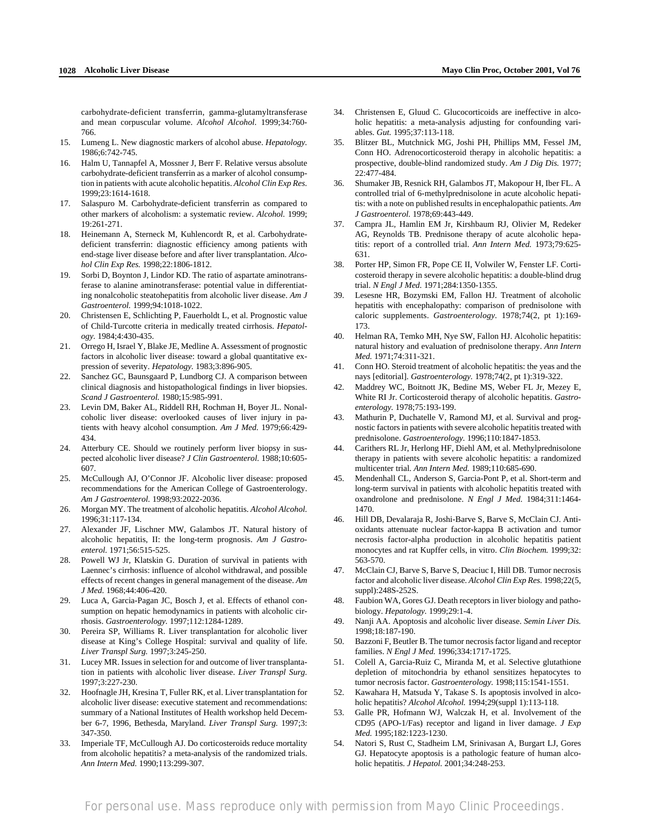carbohydrate-deficient transferrin, gamma-glutamyltransferase and mean corpuscular volume. *Alcohol Alcohol.* 1999;34:760- 766.

- 15. Lumeng L. New diagnostic markers of alcohol abuse. *Hepatology.* 1986;6:742-745.
- 16. Halm U, Tannapfel A, Mossner J, Berr F. Relative versus absolute carbohydrate-deficient transferrin as a marker of alcohol consumption in patients with acute alcoholic hepatitis. *Alcohol Clin Exp Res.* 1999;23:1614-1618.
- 17. Salaspuro M. Carbohydrate-deficient transferrin as compared to other markers of alcoholism: a systematic review. *Alcohol.* 1999; 19:261-271.
- 18. Heinemann A, Sterneck M, Kuhlencordt R, et al. Carbohydratedeficient transferrin: diagnostic efficiency among patients with end-stage liver disease before and after liver transplantation. *Alcohol Clin Exp Res.* 1998;22:1806-1812.
- 19. Sorbi D, Boynton J, Lindor KD. The ratio of aspartate aminotransferase to alanine aminotransferase: potential value in differentiating nonalcoholic steatohepatitis from alcoholic liver disease. *Am J Gastroenterol.* 1999;94:1018-1022.
- 20. Christensen E, Schlichting P, Fauerholdt L, et al. Prognostic value of Child-Turcotte criteria in medically treated cirrhosis. *Hepatology.* 1984;4:430-435.
- 21. Orrego H, Israel Y, Blake JE, Medline A. Assessment of prognostic factors in alcoholic liver disease: toward a global quantitative expression of severity. *Hepatology.* 1983;3:896-905.
- 22. Sanchez GC, Baunsgaard P, Lundborg CJ. A comparison between clinical diagnosis and histopathological findings in liver biopsies. *Scand J Gastroenterol.* 1980;15:985-991.
- 23. Levin DM, Baker AL, Riddell RH, Rochman H, Boyer JL. Nonalcoholic liver disease: overlooked causes of liver injury in patients with heavy alcohol consumption. *Am J Med.* 1979;66:429- 434.
- 24. Atterbury CE. Should we routinely perform liver biopsy in suspected alcoholic liver disease? *J Clin Gastroenterol.* 1988;10:605- 607.
- 25. McCullough AJ, O'Connor JF. Alcoholic liver disease: proposed recommendations for the American College of Gastroenterology. *Am J Gastroenterol.* 1998;93:2022-2036.
- 26. Morgan MY. The treatment of alcoholic hepatitis. *Alcohol Alcohol.* 1996;31:117-134.
- 27. Alexander JF, Lischner MW, Galambos JT. Natural history of alcoholic hepatitis, II: the long-term prognosis. *Am J Gastroenterol.* 1971;56:515-525.
- 28. Powell WJ Jr, Klatskin G. Duration of survival in patients with Laennec's cirrhosis: influence of alcohol withdrawal, and possible effects of recent changes in general management of the disease. *Am J Med.* 1968;44:406-420.
- 29. Luca A, Garcia-Pagan JC, Bosch J, et al. Effects of ethanol consumption on hepatic hemodynamics in patients with alcoholic cirrhosis. *Gastroenterology.* 1997;112:1284-1289.
- 30. Pereira SP, Williams R. Liver transplantation for alcoholic liver disease at King's College Hospital: survival and quality of life. *Liver Transpl Surg.* 1997;3:245-250.
- 31. Lucey MR. Issues in selection for and outcome of liver transplantation in patients with alcoholic liver disease. *Liver Transpl Surg.* 1997;3:227-230.
- 32. Hoofnagle JH, Kresina T, Fuller RK, et al. Liver transplantation for alcoholic liver disease: executive statement and recommendations: summary of a National Institutes of Health workshop held December 6-7, 1996, Bethesda, Maryland. *Liver Transpl Surg.* 1997;3: 347-350.
- 33. Imperiale TF, McCullough AJ. Do corticosteroids reduce mortality from alcoholic hepatitis? a meta-analysis of the randomized trials. *Ann Intern Med.* 1990;113:299-307.
- 34. Christensen E, Gluud C. Glucocorticoids are ineffective in alcoholic hepatitis: a meta-analysis adjusting for confounding variables. *Gut.* 1995;37:113-118.
- 35. Blitzer BL, Mutchnick MG, Joshi PH, Phillips MM, Fessel JM, Conn HO. Adrenocorticosteroid therapy in alcoholic hepatitis: a prospective, double-blind randomized study. *Am J Dig Dis.* 1977; 22:477-484.
- 36. Shumaker JB, Resnick RH, Galambos JT, Makopour H, Iber FL. A controlled trial of 6-methylprednisolone in acute alcoholic hepatitis: with a note on published results in encephalopathic patients. *Am J Gastroenterol.* 1978;69:443-449.
- 37. Campra JL, Hamlin EM Jr, Kirshbaum RJ, Olivier M, Redeker AG, Reynolds TB. Prednisone therapy of acute alcoholic hepatitis: report of a controlled trial. *Ann Intern Med.* 1973;79:625- 631.
- 38. Porter HP, Simon FR, Pope CE II, Volwiler W, Fenster LF. Corticosteroid therapy in severe alcoholic hepatitis: a double-blind drug trial. *N Engl J Med.* 1971;284:1350-1355.
- 39. Lesesne HR, Bozymski EM, Fallon HJ. Treatment of alcoholic hepatitis with encephalopathy: comparison of prednisolone with caloric supplements. *Gastroenterology.* 1978;74(2, pt 1):169- 173.
- 40. Helman RA, Temko MH, Nye SW, Fallon HJ. Alcoholic hepatitis: natural history and evaluation of prednisolone therapy. *Ann Intern Med.* 1971;74:311-321.
- 41. Conn HO. Steroid treatment of alcoholic hepatitis: the yeas and the nays [editorial]. *Gastroenterology.* 1978;74(2, pt 1):319-322.
- 42. Maddrey WC, Boitnott JK, Bedine MS, Weber FL Jr, Mezey E, White RI Jr. Corticosteroid therapy of alcoholic hepatitis. *Gastroenterology.* 1978;75:193-199.
- 43. Mathurin P, Duchatelle V, Ramond MJ, et al. Survival and prognostic factors in patients with severe alcoholic hepatitis treated with prednisolone. *Gastroenterology.* 1996;110:1847-1853.
- 44. Carithers RL Jr, Herlong HF, Diehl AM, et al. Methylprednisolone therapy in patients with severe alcoholic hepatitis: a randomized multicenter trial. *Ann Intern Med.* 1989;110:685-690.
- 45. Mendenhall CL, Anderson S, Garcia-Pont P, et al. Short-term and long-term survival in patients with alcoholic hepatitis treated with oxandrolone and prednisolone. *N Engl J Med.* 1984;311:1464- 1470.
- 46. Hill DB, Devalaraja R, Joshi-Barve S, Barve S, McClain CJ. Antioxidants attenuate nuclear factor-kappa B activation and tumor necrosis factor-alpha production in alcoholic hepatitis patient monocytes and rat Kupffer cells, in vitro. *Clin Biochem.* 1999;32: 563-570.
- 47. McClain CJ, Barve S, Barve S, Deaciuc I, Hill DB. Tumor necrosis factor and alcoholic liver disease. *Alcohol Clin Exp Res.* 1998;22(5, suppl):248S-252S.
- 48. Faubion WA, Gores GJ. Death receptors in liver biology and pathobiology. *Hepatology.* 1999;29:1-4.
- 49. Nanji AA. Apoptosis and alcoholic liver disease. *Semin Liver Dis.* 1998;18:187-190.
- 50. Bazzoni F, Beutler B. The tumor necrosis factor ligand and receptor families. *N Engl J Med.* 1996;334:1717-1725.
- 51. Colell A, Garcia-Ruiz C, Miranda M, et al. Selective glutathione depletion of mitochondria by ethanol sensitizes hepatocytes to tumor necrosis factor. *Gastroenterology.* 1998;115:1541-1551.
- 52. Kawahara H, Matsuda Y, Takase S. Is apoptosis involved in alcoholic hepatitis? *Alcohol Alcohol.* 1994;29(suppl 1):113-118.
- 53. Galle PR, Hofmann WJ, Walczak H, et al. Involvement of the CD95 (APO-1/Fas) receptor and ligand in liver damage. *J Exp Med.* 1995;182:1223-1230.
- 54. Natori S, Rust C, Stadheim LM, Srinivasan A, Burgart LJ, Gores GJ. Hepatocyte apoptosis is a pathologic feature of human alcoholic hepatitis. *J Hepatol.* 2001;34:248-253.